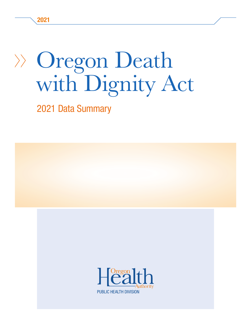# Oregon Death with Dignity Act

2021 Data Summary

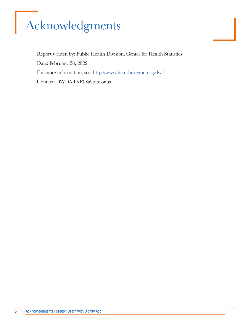# Acknowledgments

Report written by: Public Health Division, Center for Health Statistics Date: February 28, 2022 For more information, see: http://www.healthoregon.org/dwd. Contact: DWDA.INFO@state.or.us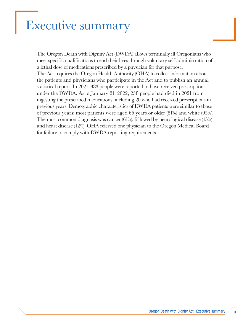### Executive summary

The Oregon Death with Dignity Act (DWDA) allows terminally ill Oregonians who meet specific qualifications to end their lives through voluntary self-administration of a lethal dose of medications prescribed by a physician for that purpose. The Act requires the Oregon Health Authority (OHA) to collect information about the patients and physicians who participate in the Act and to publish an annual statistical report. In 2021, 383 people were reported to have received prescriptions under the DWDA. As of January 21, 2022, 238 people had died in 2021 from ingesting the prescribed medications, including 20 who had received prescriptions in previous years. Demographic characteristics of DWDA patients were similar to those of previous years: most patients were aged 65 years or older (81%) and white (95%). The most common diagnosis was cancer (61%), followed by neurological disease (15%) and heart disease (12%). OHA referred one physician to the Oregon Medical Board for failure to comply with DWDA reporting requirements.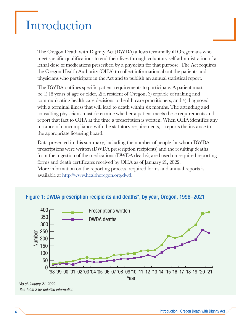### Introduction

The Oregon Death with Dignity Act (DWDA) allows terminally ill Oregonians who meet specific qualifications to end their lives through voluntary self-administration of a lethal dose of medications prescribed by a physician for that purpose. The Act requires the Oregon Health Authority (OHA) to collect information about the patients and physicians who participate in the Act and to publish an annual statistical report.

The DWDA outlines specific patient requirements to participate. A patient must be 1) 18 years of age or older, 2) a resident of Oregon, 3) capable of making and communicating health care decisions to health care practitioners, and 4) diagnosed with a terminal illness that will lead to death within six months. The attending and consulting physicians must determine whether a patient meets these requirements and report that fact to OHA at the time a prescription is written. When OHA identifies any instance of noncompliance with the statutory requirements, it reports the instance to the appropriate licensing board.

Data presented in this summary, including the number of people for whom DWDA prescriptions were written (DWDA prescription recipients) and the resulting deaths from the ingestion of the medications (DWDA deaths), are based on required reporting forms and death certificates received by OHA as of January 21, 2022. More information on the reporting process, required forms and annual reports is available at http://www.healthoregon.org/dwd.



#### Figure 1: DWDA prescription recipients and deaths\*, by year, Oregon, 1998–2021

\*As of January 21, 2022 See Table 2 for detailed information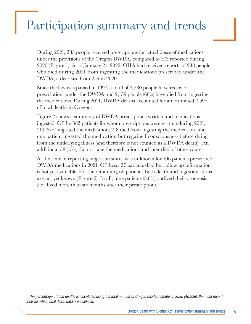### Participation summary and trends

During 2021, 383 people received prescriptions for lethal doses of medications under the provisions of the Oregon DWDA, compared to 373 reported during 2020 (Figure 1). As of January 21, 2022, OHA had received reports of 238 people who died during 2021 from ingesting the medications prescribed under the DWDA, a decrease from 259 in 2020.

Since the law was passed in 1997, a total of 3,280 people have received prescriptions under the DWDA and 2,159 people (66%) have died from ingesting the medications. During 2021, DWDA deaths accounted for an estimated 0.59% of total deaths in Oregon.\*

Figure 2 shows a summary of DWDA prescriptions written and medications ingested. Of the 383 patients for whom prescriptions were written during 2021, 219 (57%) ingested the medication; 218 died from ingesting the medication, and one patient ingested the medication but regained consciousness before dying from the underlying illness (and therefore is not counted as a DWDA death). An additional 58 (15%) did not take the medications and later died of other causes.

At the time of reporting, ingestion status was unknown for 106 patients prescribed DWDA medications in 2021. Of these, 37 patients died but follow up information is not yet available. For the remaining 69 patients, both death and ingestion status are not yet known (Figure 2). In all, nine patients (3.8%) outlived their prognosis (i.e., lived more than six months after their prescription).

\* The percentage of total deaths is calculated using the total number of Oregon resident deaths in 2020 (40,226), the most recent year for which final death data are available.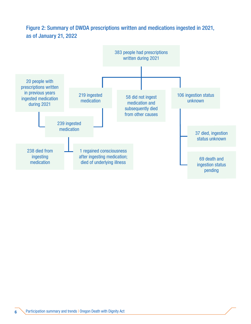### Figure 2: Summary of DWDA prescriptions written and medications ingested in 2021, as of January 21, 2022

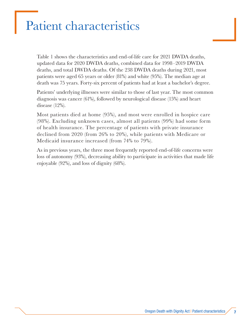### Patient characteristics

Table 1 shows the characteristics and end-of-life care for 2021 DWDA deaths, updated data for 2020 DWDA deaths, combined data for 1998–2019 DWDA deaths, and total DWDA deaths. Of the 238 DWDA deaths during 2021, most patients were aged 65 years or older (81%) and white (95%). The median age at death was 75 years. Forty-six percent of patients had at least a bachelor's degree.

Patients' underlying illnesses were similar to those of last year. The most common diagnosis was cancer (61%), followed by neurological disease (15%) and heart disease (12%).

Most patients died at home (95%), and most were enrolled in hospice care (98%). Excluding unknown cases, almost all patients (99%) had some form of health insurance. The percentage of patients with private insurance declined from 2020 (from 26% to 20%), while patients with Medicare or Medicaid insurance increased (from 74% to 79%).

As in previous years, the three most frequently reported end-of-life concerns were loss of autonomy (93%), decreasing ability to participate in activities that made life enjoyable (92%), and loss of dignity (68%).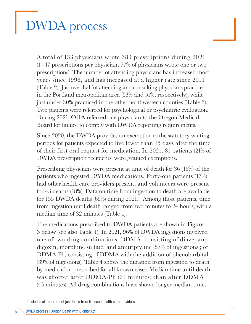## DWDA process

A total of 133 physicians wrote 383 prescriptions during 2021 (1–47 prescriptions per physician; 77% of physicians wrote one or two prescriptions). The number of attending physicians has increased most years since 1998, and has increased at a higher rate since 2014 (Table 2). Just over half of attending and consulting physicians practiced in the Portland metropolitan area (53% and 51%, respectively), while just under 30% practiced in the other northwestern counties (Table 3). Two patients were referred for psychological or psychiatric evaluation. During 2021, OHA referred one physician to the Oregon Medical Board for failure to comply with DWDA reporting requirements.

Since 2020, the DWDA provides an exemption to the statutory waiting periods for patients expected to live fewer than 15 days after the time of their first oral request for medication. In 2021, 81 patients (21% of DWDA prescription recipients) were granted exemptions.

Prescribing physicians were present at time of death for 36 (15%) of the patients who ingested DWDA medications. Forty-one patients (17%) had other health care providers present, and volunteers were present for 43 deaths (18%). Data on time from ingestion to death are available for 155 DWDA deaths (65%) during 2021.<sup>†</sup> Among those patients, time from ingestion until death ranged from two minutes to 24 hours, with a median time of 32 minutes (Table 1).

The medications prescribed to DWDA patients are shown in Figure 3 below (see also Table 1). In 2021, 96% of DWDA ingestions involved one of two drug combinations: DDMA, consisting of diazepam, digoxin, morphine sulfate, and amitriptyline (57% of ingestions); or DDMA-Ph, consisting of DDMA with the addition of phenobarbital (39% of ingestions). Table 4 shows the duration from ingestion to death by medication prescribed for all known cases. Median time until death was shorter after DDMA-Ph (31 minutes) than after DDMA (45 minutes). All drug combinations have shown longer median times

<sup>†</sup> Includes all reports, not just those from licensed health care providers.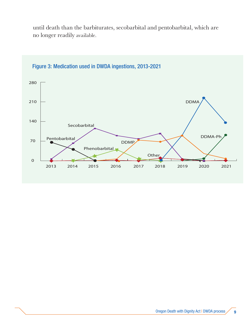until death than the barbiturates, secobarbital and pentobarbital, which are no longer readily available.



#### Figure 3: Medication used in DWDA ingestions, 2013-2021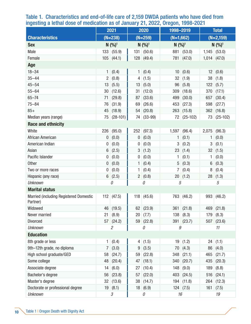| ------                                             | 2021                   |              | - - -<br>2020 |                        | ອ້າງກ່າ<br>1998-2019                |                 | <b>Total</b>   |                        |  |
|----------------------------------------------------|------------------------|--------------|---------------|------------------------|-------------------------------------|-----------------|----------------|------------------------|--|
| <b>Characteristics</b>                             | $(N=238)$              |              |               | $(N=259)$              |                                     |                 | $(N=2,159)$    |                        |  |
|                                                    | $N$ $(%)$ <sup>1</sup> |              |               |                        | $(N=1,662)$<br>$N$ (%) <sup>1</sup> |                 |                |                        |  |
| <b>Sex</b>                                         |                        |              |               | $N$ $(%)$ <sup>1</sup> |                                     |                 |                | $N$ $(%)$ <sup>1</sup> |  |
| Male                                               |                        | 133   (55.9) |               | 131   (50.6)           |                                     | 881   (53.0)    |                | $1,145$ (53.0)         |  |
| Female                                             |                        | 105   (44.1) |               | 128   (49.4)           |                                     | 781 (47.0)      | $1,014$ (47.0) |                        |  |
| Age                                                |                        |              |               |                        |                                     |                 |                |                        |  |
| $18 - 34$                                          | $\mathbf{1}$           | (0.4)        | 1             | (0.4)                  | 10                                  | (0.6)           | 12             | (0.6)                  |  |
| $35 - 44$                                          | $\overline{2}$         | (0.8)        | 4             | (1.5)                  | 32                                  | (1.9)           | 38             | (1.8)                  |  |
| $45 - 54$                                          | 13                     | (5.5)        | 13            | (5.0)                  | 96                                  | (5.8)           | 122            | (5.7)                  |  |
| $55 - 64$                                          | 30                     | (12.6)       | 31            | (12.0)                 | 309                                 | (18.6)          | 370            | (17.1)                 |  |
| $65 - 74$                                          | 71                     | (29.8)       | 87            | (33.6)                 | 499                                 | (30.0)          | 657            | (30.4)                 |  |
| $75 - 84$                                          | 76                     | (31.9)       | 69            | (26.6)                 | 453                                 | (27.3)          | 598            | (27.7)                 |  |
| $85+$                                              | 45                     | (18.9)       | 54            | (20.8)                 | 263                                 | (15.8)          | 362            | (16.8)                 |  |
| Median years (range)                               | 75                     | $(28-101)$   | 74            | $(33-99)$              |                                     | $72   (25-102)$ | 73             | $(25-102)$             |  |
| <b>Race and ethnicity</b>                          |                        |              |               |                        |                                     |                 |                |                        |  |
| White                                              | 226                    | (95.0)       | 252           | (97.3)                 |                                     | $1,597$ (96.4)  | 2,075          | (96.3)                 |  |
| African American                                   | 0                      | (0.0)        | $\pmb{0}$     | (0.0)                  | 1                                   | (0.1)           | 1              | (0.0)                  |  |
| American Indian                                    | 0                      | (0.0)        | 0             | (0.0)                  | 3                                   | (0.2)           | 3              | (0.1)                  |  |
| Asian                                              | 6                      | (2.5)        | 3             | (1.2)                  | 23                                  | (1.4)           | 32             | (1.5)                  |  |
| Pacific Islander                                   | 0                      | (0.0)        | 0             | (0.0)                  | 1                                   | (0.1)           | 1              | (0.0)                  |  |
| <b>Other</b>                                       | 0                      | (0.0)        | 1             | (0.4)                  | 5                                   | (0.3)           | $\,6$          | (0.3)                  |  |
| Two or more races                                  | 0                      | (0.0)        | 1             | (0.4)                  | $\overline{7}$                      | (0.4)           | 8              | (0.4)                  |  |
| Hispanic (any race)                                | 6                      | (2.5)        | $2^{\circ}$   | (0.8)                  |                                     | 20   (1.2)      | 28             | (1.3)                  |  |
| <b>Unknown</b>                                     |                        | 0            | 0             |                        | 5                                   |                 | 5              |                        |  |
| <b>Marital status</b>                              |                        |              |               |                        |                                     |                 |                |                        |  |
| Married (including Registered Domestic<br>Partner) | 112                    | (47.5)       | 118           | (45.6)                 |                                     | 763 (46.2)      | 993            | (46.2)                 |  |
| Widowed                                            |                        | 46 (19.5)    |               | 62   (23.9)            |                                     | 361   (21.8)    |                | $469$ (21.8)           |  |
| Never married                                      | 21                     | (8.9)        | 20            | (7.7)                  |                                     | 138   (8.3)     | 179            | (8.3)                  |  |
| <b>Divorced</b>                                    | 57                     | (24.2)       | 59            | (22.8)                 |                                     | 391   (23.7)    | 507            | (23.6)                 |  |
| <b>Unknown</b>                                     |                        | 2            |               | 0                      | 9                                   |                 |                | 11                     |  |
| <b>Education</b>                                   |                        |              |               |                        |                                     |                 |                |                        |  |
| 8th grade or less                                  | 1                      | (0.4)        | 4             | (1.5)                  | 19                                  | (1.2)           | 24             | (1.1)                  |  |
| 9th-12th grade, no diploma                         | $\overline{7}$         | (3.0)        | 9             | (3.5)                  | 70                                  | (4.3)           | 86             | (4.0)                  |  |
| High school graduate/GED                           | 58                     | (24.7)       | 59            | (22.8)                 | 348                                 | (21.1)          | 465            | (21.7)                 |  |
| Some college                                       | 48                     | (20.4)       | 47            | (18.1)                 | 340                                 | (20.7)          | 435            | (20.3)                 |  |
| Associate degree                                   | 14                     | (6.0)        | 27            | (10.4)                 | 148                                 | (9.0)           | 189            | (8.8)                  |  |
| Bachelor's degree                                  | 56                     | (23.8)       | 57            | (22.0)                 | 403                                 | (24.5)          | 516            | (24.1)                 |  |
| Master's degree                                    | 32                     | (13.6)       | 38            | (14.7)                 | 194                                 | (11.8)          | 264            | (12.3)                 |  |
| Doctorate or professional degree                   | 19                     | (8.1)        | 18            | (6.9)                  |                                     | $124$ (7.5)     | 161            | (7.5)                  |  |
| <b>Unknown</b>                                     | 3                      |              |               | 0                      | 16                                  |                 |                | 19                     |  |

### Table 1. Characteristics and end-of-life care of 2,159 DWDA patients who have died from ingesting a lethal dose of medication as of January 21, 2022, Oregon, 1998-2021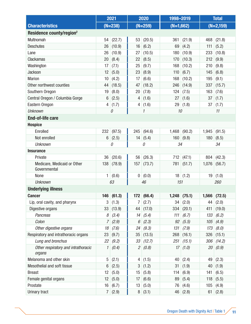|                                               | 2021           |              | 2020           |              | 1998-2019   |                |       | <b>Total</b>   |
|-----------------------------------------------|----------------|--------------|----------------|--------------|-------------|----------------|-------|----------------|
| <b>Characteristics</b>                        | $(N=238)$      |              |                | $(N=259)$    | $(N=1,662)$ |                |       | $(N=2,159)$    |
| Residence county/region <sup>2</sup>          |                |              |                |              |             |                |       |                |
| Multnomah                                     | 54             | (22.7)       | 53             | (20.5)       | 361         | (21.9)         | 468   | (21.8)         |
| <b>Deschutes</b>                              | 26             | (10.9)       | 16             | (6.2)        | 69          | (4.2)          | 111   | (5.2)          |
| Lane                                          | 26             | (10.9)       | 27             | (10.5)       | 180         | (10.9)         | 233   | (10.8)         |
| Clackamas                                     | 20             | (8.4)        | 22             | (8.5)        | 170         | (10.3)         | 212   | (9.9)          |
| Washington                                    | 17             | (7.1)        | 25             | (9.7)        | 168         | (10.2)         | 210   | (9.8)          |
| <b>Jackson</b>                                | 12             | (5.0)        | 23             | (8.9)        | 110         | (6.7)          | 145   | (6.8)          |
| <b>Marion</b>                                 | 10             | (4.2)        | 17             | (6.6)        | 168         | (10.2)         | 195   | (9.1)          |
| Other northwest counties                      | 44             | (18.5)       | 47             | (18.2)       | 246         | (14.9)         | 337   | (15.7)         |
| Southern Oregon                               | 19             | (8.0)        | 20             | (7.8)        | 124         | (7.5)          | 163   | (7.6)          |
| Central Oregon / Columbia Gorge               | 6              | (2.5)        | 4              | (1.6)        | 27          | (1.6)          | 37    | (1.7)          |
| Eastern Oregon                                | 4              | (1.7)        | 4              | (1.6)        | 29          | (1.8)          | 37    | (1.7)          |
| <b>Unknown</b>                                |                | 0            |                | 1            | 10          |                |       | 11             |
| <b>End-of-life care</b>                       |                |              |                |              |             |                |       |                |
| <b>Hospice</b>                                |                |              |                |              |             |                |       |                |
| Enrolled                                      | 232            | (97.5)       | 245            | (94.6)       | 1,468       | (90.2)         | 1,945 | (91.5)         |
| Not enrolled                                  | $6\,$          | (2.5)        | 14             | (5.4)        | 160         | (9.8)          | 180   | (8.5)          |
| <b>Unknown</b>                                |                | 0            |                | 0            | 34          |                |       | 34             |
| <b>Insurance</b>                              |                |              |                |              |             |                |       |                |
| Private                                       | 36             | (20.6)       | 56             | (26.3)       | 712         | (47.1)         | 804   | (42.3)         |
| Medicare, Medicaid or Other<br>Governmental   | 138            | (78.9)       | 157            | (73.7)       | 781         | (51.7)         | 1,076 | (56.7)         |
| None                                          | $\mathbf{1}$   | (0.6)        | 0 <sup>1</sup> | (0.0)        | 18          | (1.2)          | 19    | (1.0)          |
| <b>Unknown</b>                                |                | 63<br>46     |                | 151          |             |                | 260   |                |
| <b>Underlying illness</b>                     |                |              |                |              |             |                |       |                |
| <b>Cancer</b>                                 |                | $146$ (61.3) |                | 172   (66.4) |             | $1,248$ (75.1) |       | $1,566$ (72.5) |
| Lip, oral cavity, and pharynx                 | 3              | (1.3)        | 7              | (2.7)        | 34          | (2.0)          | 44    | (2.0)          |
| Digestive organs                              | 33             | (13.9)       | 44             | (17.0)       | 334         | (20.1)         | 411   | (19.0)         |
| Pancreas                                      | 8              | (3.4)        | 14             | (5.4)        | 111         | (6.7)          | 133   | (6.2)          |
| Colon                                         | 7              | (2.9)        | 6              | (2.3)        | 92          | (5.5)          | 105   | (4.9)          |
| Other digestive organs                        | 18             | (7.6)        | 24             | (9.3)        | 131         | (7.9)          | 173   | (8.0)          |
| Respiratory and intrathoracic organs          | 23             | (9.7)        | 35             | (13.5)       | 268         | (16.1)         | 326   | (15.1)         |
| Lung and bronchus                             | 22             | (9.2)        | 33             | (12.7)       | 251         | (15.1)         | 306   | (14.2)         |
| Other respiratory and intrathoracic<br>organs | 1              | (0.4)        | $\mathfrak{2}$ | (0.8)        | 17          | (1.0)          | 20    | (0.9)          |
| Melanoma and other skin                       | $\sqrt{5}$     | (2.1)        | 4              | (1.5)        | 40          | (2.4)          | 49    | (2.3)          |
| Mesothelial and soft tissue                   | 6              | (2.5)        | 3              | (1.2)        | 31          | (1.9)          | 40    | (1.9)          |
| <b>Breast</b>                                 | 12             | (5.0)        | 15             | (5.8)        | 114         | (6.9)          | 141   | (6.5)          |
| Female genital organs                         | 12             | (5.0)        | 17             | (6.6)        | 89          | (5.4)          | 118   | (5.5)          |
| Prostate                                      | 16             | (6.7)        | 13             | (5.0)        | 76          | (4.6)          | 105   | (4.9)          |
| Urinary tract                                 | $\overline{7}$ | (2.9)        | 8              | (3.1)        | 46          | (2.8)          | 61    | (2.8)          |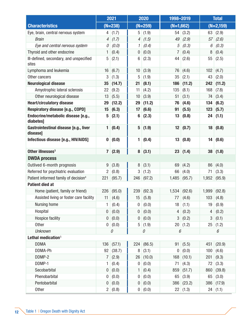|                                                   | 2021                    |            | 2020            |            | 1998-2019      |                | <b>Total</b> |             |
|---------------------------------------------------|-------------------------|------------|-----------------|------------|----------------|----------------|--------------|-------------|
| <b>Characteristics</b>                            |                         | $(N=238)$  |                 | $(N=259)$  | $(N=1,662)$    |                |              | $(N=2,159)$ |
| Eye, brain, central nervous system                | 4                       | (1.7)      |                 | 5(1.9)     |                | 54   (3.2)     |              | 63   (2.9)  |
| <b>Brain</b>                                      | 4                       | (1.7)      | 4               | (1.5)      | 49             | (2.9)          | 57           | (2.6)       |
| Eye and central nervous system                    | 0                       | (0.0)      | 1               | (0.4)      | 5              | (0.3)          | 6            | (0.3)       |
| Thyroid and other endocrine                       | 1                       | (0.4)      | 0               | (0.0)      | $\overline{7}$ | (0.4)          | 8            | (0.4)       |
| III-defined, secondary, and unspecified<br>sites  | 5                       | (2.1)      | 6               | (2.3)      | 44             | (2.6)          | 55           | (2.5)       |
| Lymphoma and leukemia                             | 16                      | (6.7)      | 10 <sup>1</sup> | (3.9)      | 76             | (4.6)          | 102          | (4.7)       |
| Other cancers                                     | 3                       | (1.3)      | 5               | (1.9)      | 35             | (2.1)          | 43           | (2.0)       |
| <b>Neurological disease</b>                       | 35                      | (14.7)     | 21              | (8.1)      | 186            | (11.2)         | 242          | (11.2)      |
| Amyotrophic lateral sclerosis                     | 22                      | (9.2)      | 11              | (4.2)      | 135            | (8.1)          | 168          | (7.8)       |
| Other neurological disease                        | 13                      | (5.5)      | 10 <sup>°</sup> | (3.9)      | 51             | (3.1)          | 74           | (3.4)       |
| <b>Heart/circulatory disease</b>                  | 29                      | (12.2)     | 29              | (11.2)     | 76             | (4.6)          | 134          | (6.2)       |
| Respiratory disease [e.g., COPD]                  | 15                      | (6.3)      | 17              | (6.6)      | 91             | (5.5)          | 123          | (5.7)       |
| Endocrine/metabolic disease [e.g.,<br>diabetes]   | 5                       | (2.1)      | 6               | (2.3)      | 13             | (0.8)          |              | 24   (1.1)  |
| Gastrointestinal disease [e.g., liver<br>disease] | 1                       | (0.4)      | $5\phantom{.0}$ | (1.9)      | 12             | (0.7)          | 18           | (0.8)       |
| Infectious disease [e.g., HIV/AIDS]               | $\bf{0}$                | (0.0)      | 1               | (0.4)      |                | 13   (0.8)     | 14           | (0.6)       |
| Other illnesses <sup>3</sup>                      | $\overline{\mathbf{7}}$ | (2.9)      | 8               | (3.1)      |                | 23   (1.4)     | 38           | (1.8)       |
| <b>DWDA process</b>                               |                         |            |                 |            |                |                |              |             |
| Outlived 6-month prognosis                        | 9                       | (3.8)      | 8               | (3.1)      |                | 69   (4.2)     | 86           | (4.0)       |
| Referred for psychiatric evaluation               | $\overline{2}$          | (0.8)      | 3               | (1.2)      | 66             | (4.0)          | 71           | (3.3)       |
| Patient informed family of decision <sup>4</sup>  | 221                     | (95.7)     | 246             | (97.2)     | 1,485          | (95.7)         | 1,952        | (95.9)      |
| <b>Patient died at</b>                            |                         |            |                 |            |                |                |              |             |
| Home (patient, family or friend)                  | 226                     | (95.0)     | 239             | (92.3)     |                | $1,534$ (92.6) | 1,999        | (92.8)      |
| Assisted living or foster care facility           |                         | 11 $(4.6)$ |                 | 15   (5.8) |                | 77   (4.6)     |              | 103   (4.8) |
| Nursing home                                      | 1.                      | (0.4)      | 0               | (0.0)      | 18             | (1.1)          | 19           | (0.9)       |
| Hospital                                          | $\pmb{0}$               | (0.0)      | 0               | (0.0)      | 4              | (0.2)          | 4            | (0.2)       |
| <b>Hospice facility</b>                           | $\mathbf 0$             | (0.0)      | $\pmb{0}$       | (0.0)      | 3              | (0.2)          | 3            | (0.1)       |
| Other                                             | $\pmb{0}$               | (0.0)      | 5               | (1.9)      |                | 20   (1.2)     | 25           | (1.2)       |
| <b>Unknown</b>                                    |                         | 0          |                 | 0          | 6              |                |              | 6           |
| Lethal medication <sup>5</sup>                    |                         |            |                 |            |                |                |              |             |
| <b>DDMA</b>                                       | 136                     | (57.1)     | 224             | (86.5)     | 91             | (5.5)          | 451          | (20.9)      |
| DDMA-Ph                                           | 92                      | (38.7)     | 8               | (3.1)      | 0              | (0.0)          | 100          | (4.6)       |
| DDMP-2                                            | $\overline{7}$          | (2.9)      | 26              | (10.0)     |                | 168   (10.1)   | 201          | (9.3)       |
| DDMP-1                                            | 1                       | (0.4)      | 0               | (0.0)      | 71             | (4.3)          | 72           | (3.3)       |
| Secobarbital                                      | 0                       | (0.0)      | 1               | (0.4)      | 859            | (51.7)         | 860          | (39.8)      |
| Phenobarbital                                     | 0                       | (0.0)      | 0               | (0.0)      | 65             | (3.9)          | 65           | (3.0)       |
| Pentobarbital                                     | $\pmb{0}$               | (0.0)      | $\mathbf 0$     | (0.0)      |                | 386 (23.2)     | 386          | (17.9)      |
| Other                                             |                         | 2   (0.8)  |                 | 0   (0.0)  |                | 22   (1.3)     |              | 24   (1.1)  |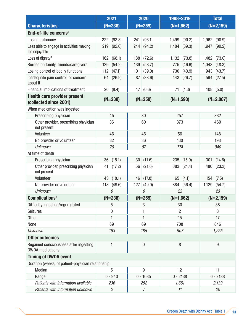|                                                                   | 2021         |                | 2020      |                  | 1998-2019      |              | <b>Total</b> |                |
|-------------------------------------------------------------------|--------------|----------------|-----------|------------------|----------------|--------------|--------------|----------------|
| <b>Characteristics</b>                                            |              | $(N=238)$      |           | $(N=259)$        | $(N=1,662)$    |              |              | $(N=2,159)$    |
| End-of-life concerns <sup>6</sup>                                 |              |                |           |                  |                |              |              |                |
| Losing autonomy                                                   | 222          | (93.3)         | 241       | (93.1)           | 1,499          | (90.2)       | 1,962        | (90.9)         |
| Less able to engage in activities making<br>life enjoyable        | 219          | (92.0)         | 244       | (94.2)           | 1,484          | (89.3)       | 1,947        | (90.2)         |
| Loss of dignity <sup>7</sup>                                      | 162          | (68.1)         | 188       | (72.6)           | 1,132          | (73.8)       |              | $1,482$ (73.0) |
| Burden on family, friends/caregivers                              | 129          | (54.2)         | 139       | (53.7)           | 775            | (46.6)       | 1,043        | (48.3)         |
| Losing control of bodily functions                                | 112          | (47.1)         | 101       | (39.0)           | 730            | (43.9)       | 943          | (43.7)         |
| Inadequate pain control, or concern<br>about it                   | 64           | (26.9)         | 87        | (33.6)           | 443            | (26.7)       | 594          | (27.5)         |
| Financial implications of treatment                               | 20           | (8.4)          | 17        | (6.6)            | 71             | (4.3)        | 108          | (5.0)          |
| <b>Health care provider present</b><br>(collected since 2001)     |              | $(N=238)$      |           | $(N=259)$        | $(N=1,590)$    |              |              | $(N=2,087)$    |
| When medication was ingested                                      |              |                |           |                  |                |              |              |                |
| Prescribing physician                                             |              | 45             |           | 30               | 257            |              |              | 332            |
| Other provider, prescribing physician<br>not present              | 36           |                | 60        |                  |                | 373          |              | 469            |
| Volunteer                                                         | 46           |                | 46        |                  | 56             |              | 148          |                |
| No provider or volunteer                                          |              | 32             | 36        |                  | 130            |              | 198          |                |
| <b>Unknown</b>                                                    | 79           |                | 87        |                  | 774            |              |              | 940            |
| At time of death                                                  |              |                |           |                  |                |              |              |                |
| Prescribing physician                                             | 36           | (15.1)         | 30        | (11.6)           | 235            | (15.0)       | 301          | (14.6)         |
| Other provider, prescribing physician<br>not present              | 41           | (17.2)         | 56        | (21.6)           | 383            | (24.4)       | 480          | (23.3)         |
| Volunteer                                                         | 43           | (18.1)         | 46        | (17.8)           | 65             | (4.1)        | 154          | (7.5)          |
| No provider or volunteer                                          | 118          | (49.6)         | 127       | (49.0)           |                | 884   (56.4) | 1,129        | (54.7)         |
| <b>Unknown</b>                                                    | $\mathcal O$ |                | 0         |                  | 23             |              |              | 23             |
| <b>Complications<sup>8</sup></b>                                  |              | $(N=238)$      | $(N=259)$ |                  | $(N=1,662)$    |              | $(N=2,159)$  |                |
| Difficulty ingesting/regurgitated                                 |              | 5              | 3         |                  | 30             |              | 38           |                |
| <b>Seizures</b>                                                   |              | 0              |           |                  | $\overline{2}$ |              |              | 3              |
| <b>Other</b>                                                      |              | 1              |           | 1                | 15             |              |              | 17             |
| None                                                              |              | 69             |           | 69               | 708            |              |              | 846            |
| <b>Unknown</b>                                                    |              | 163            |           | 185              | 907            |              |              | 1,255          |
| <b>Other outcomes</b>                                             |              |                |           |                  |                |              |              |                |
| Regained consciousness after ingesting<br><b>DWDA</b> medications |              | 1              |           | $\boldsymbol{0}$ | 8              |              |              | $9\,$          |
| <b>Timing of DWDA event</b>                                       |              |                |           |                  |                |              |              |                |
| Duration (weeks) of patient-physician relationship                |              |                |           |                  |                |              |              |                |
| Median                                                            |              | 5              |           | 9                | 12             |              | 11           |                |
| Range                                                             |              | $0 - 940$      |           | $0 - 1085$       | $0 - 2138$     |              |              | $0 - 2138$     |
| Patients with information available                               |              | 236            |           | 252              | 1,651          |              |              | 2,139          |
| Patients with information unknown                                 |              | $\overline{2}$ |           | $\overline{7}$   | 11             |              | 20           |                |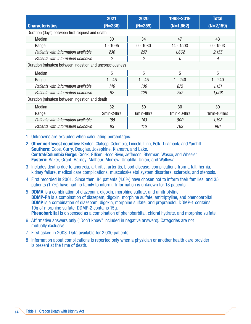|                                                          | 2021           | 2020           | 1998-2019   | <b>Total</b> |  |  |  |  |  |  |  |
|----------------------------------------------------------|----------------|----------------|-------------|--------------|--|--|--|--|--|--|--|
| <b>Characteristics</b>                                   | $(N=238)$      | $(N=259)$      | $(N=1,662)$ | $(N=2,159)$  |  |  |  |  |  |  |  |
| Duration (days) between first request and death          |                |                |             |              |  |  |  |  |  |  |  |
| Median                                                   | 30             | 34             | 47          | 43           |  |  |  |  |  |  |  |
| Range                                                    | $1 - 1095$     | $0 - 1080$     | $14 - 1503$ | $0 - 1503$   |  |  |  |  |  |  |  |
| Patients with information available                      | 236            | 257            | 1,662       | 2,155        |  |  |  |  |  |  |  |
| Patients with information unknown                        | $\mathfrak{2}$ | $\overline{2}$ | 0           | 4            |  |  |  |  |  |  |  |
| Duration (minutes) between ingestion and unconsciousness |                |                |             |              |  |  |  |  |  |  |  |
| Median                                                   | 5              | 5              | 5           | 5            |  |  |  |  |  |  |  |
| Range                                                    | $1 - 45$       | $1 - 45$       | $1 - 240$   | $1 - 240$    |  |  |  |  |  |  |  |
| Patients with information available                      | 146            | 130            | 875         | 1,151        |  |  |  |  |  |  |  |
| Patients with information unknown                        | 92             | 129            | 787         | 1,008        |  |  |  |  |  |  |  |
| Duration (minutes) between ingestion and death           |                |                |             |              |  |  |  |  |  |  |  |
| Median                                                   | 32             | 50             | 30          | 30           |  |  |  |  |  |  |  |
| Range                                                    | 2min-24hrs     | 6min-8hrs      | 1min-104hrs | 1min-104hrs  |  |  |  |  |  |  |  |
| Patients with information available                      | 155            | 143            | 900         | 1,198        |  |  |  |  |  |  |  |
| Patients with information unknown                        | 83             | 116            | 762         | 961          |  |  |  |  |  |  |  |

1 Unknowns are excluded when calculating percentages.

- 2 Other northwest counties: Benton, Clatsop, Columbia, Lincoln, Linn, Polk, Tillamook, and Yamhill. Southern: Coos, Curry, Douglas, Josephine, Klamath, and Lake. Central/Columbia Gorge: Crook, Gilliam, Hood River, Jefferson, Sherman, Wasco, and Wheeler. Eastern: Baker, Grant, Harney, Malheur, Morrow, Umatilla, Union, and Wallowa.
- 3 Includes deaths due to anorexia, arthritis, arteritis, blood disease, complications from a fall, hernia, kidney failure, medical care complications, musculoskeletal system disorders, sclerosis, and stenosis.
- 4 First recorded in 2001. Since then, 84 patients (4.0%) have chosen not to inform their families, and 35 patients (1.7%) have had no family to inform. Information is unknown for 18 patients.
- 5 DDMA is a combination of diazepam, digoxin, morphine sulfate, and amitriptyline. DDMP-Ph is a combination of diazepam, digoxin, morphine sulfate, amitriptyline, and phenobarbital DDMP is a combination of diazepam, digoxin, morphine sulfate, and propranolol. DDMP-1 contains 10g of morphine sulfate; DDMP-2 contains 15g. Phenobarbital is dispensed as a combination of phenobarbital, chloral hydrate, and morphine sulfate.
- 6 Affirmative answers only ("Don't know" included in negative answers). Categories are not mutually exclusive.
- 7 First asked in 2003. Data available for 2,030 patients.
- 8 Information about complications is reported only when a physician or another health care provider is present at the time of death.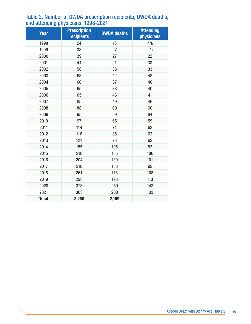| <b>Year</b>  | <b>Prescription</b><br>recipients | <b>DWDA deaths</b> | <b>Attending</b><br>physicians |
|--------------|-----------------------------------|--------------------|--------------------------------|
| 1998         | 24                                | 16                 | n/a                            |
| 1999         | 33                                | 27                 | n/a                            |
| 2000         | 39                                | 27                 | 22                             |
| 2001         | 44                                | 21                 | 33                             |
| 2002         | 58                                | 38                 | 33                             |
| 2003         | 68                                | 42                 | 42                             |
| 2004         | 60                                | 37                 | 40                             |
| 2005         | 65                                | 38                 | 40                             |
| 2006         | 65                                | 46                 | 41                             |
| 2007         | 85                                | 49                 | 46                             |
| 2008         | 88                                | 60                 | 60                             |
| 2009         | 95                                | 59                 | 64                             |
| 2010         | 97                                | 65                 | 59                             |
| 2011         | 114                               | 71                 | 62                             |
| 2012         | 116                               | 85                 | 62                             |
| 2013         | 121                               | 73                 | 62                             |
| 2014         | 155                               | 105                | 83                             |
| 2015         | 218                               | 135                | 106                            |
| 2016         | 204                               | 139                | 101                            |
| 2017         | 218                               | 158                | 92                             |
| 2018         | 261                               | 178                | 108                            |
| 2019         | 296                               | 193                | 113                            |
| 2020         | 373                               | 259                | 142                            |
| 2021         | 383                               | 238                | 133                            |
| <b>Total</b> | 3,280                             | 2,159              |                                |

#### Table 2. Number of DWDA prescription recipients, DWDA deaths, and attending physicians, 1998-2021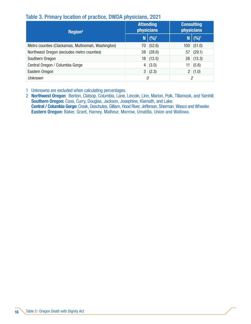### Table 3. Primary location of practice, DWDA physicians, 2021

| Region <sup>2</sup>                               | <b>Attending</b> | <b>physicians</b> | <b>Consulting</b><br><b>physicians</b> |                  |  |
|---------------------------------------------------|------------------|-------------------|----------------------------------------|------------------|--|
|                                                   | N,               | $ (96)^1$         | N                                      | (%) <sup>1</sup> |  |
| Metro counties (Clackamas, Multnomah, Washington) | 70               | (52.6)            | 100                                    | (51.0)           |  |
| Northwest Oregon (excludes metro counties)        | 38               | (28.6)            | 57                                     | (29.1)           |  |
| Southern Oregon                                   | 18               | (13.5)            | 26                                     | (13.3)           |  |
| Central Oregon / Columbia Gorge                   |                  | $4 \mid (3.0)$    | 11                                     | (5.6)            |  |
| Eastern Oregon                                    |                  | 3   (2.3)         |                                        | 2   (1.0)        |  |
| Unknown                                           |                  | 0                 | 2                                      |                  |  |

1 Unknowns are excluded when calculating percentages.

2 Northwest Oregon: Benton, Clatsop, Columbia, Lane, Lincoln, Linn, Marion, Polk, Tillamook, and Yamhill. Southern Oregon: Coos, Curry, Douglas, Jackson, Josephine, Klamath, and Lake. Central / Columbia Gorge: Crook, Deschutes, Gilliam, Hood River, Jefferson, Sherman, Wasco and Wheeler. Eastern Oregon: Baker, Grant, Harney, Malheur, Morrow, Umatilla, Union and Wallowa.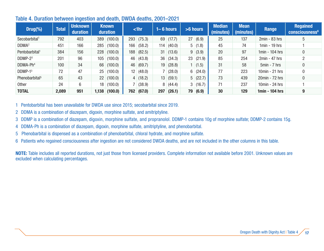| $Drug(\%)$                 | <b>Total</b> | <b>Unknown</b><br>duration |                 | <b>Known</b><br>duration |                 | $ $ -1 $\ln$ |     | $1 - 6$ hours |                | >6 hours    | <b>Median</b><br>(minutes) | <b>Mean</b><br>(minutes) | Range            | <b>Regained</b><br>consciousness <sup>6</sup> |
|----------------------------|--------------|----------------------------|-----------------|--------------------------|-----------------|--------------|-----|---------------|----------------|-------------|----------------------------|--------------------------|------------------|-----------------------------------------------|
| Secobarbital <sup>1</sup>  | 792          | 403                        | 389             | (100.0)                  | 293             | (75.3)       | 69  | (17.7)        | 27             | (6.9)       | 25                         | 137                      | $2min - 83 hrs$  | 5                                             |
| DDMA <sup>2</sup>          | 451          | 166                        | 285             | (100.0)                  | 166             | (58.2)       | 114 | (40.0)        | 5              | (1.8)       | 45                         | 74                       | $1min - 19$ hrs  |                                               |
| Pentobarbital <sup>1</sup> | 384          | 156                        | 228             | (100.0)                  | 188             | (82.5)       | 31  | (13.6)        | 9 <sup>1</sup> | (3.9)       | 20                         | 97                       | $1min - 104$ hrs | 0                                             |
| $DDMP-23$                  | 201          | 96                         | 105             | (100.0)                  | 46              | (43.8)       | 36  | (34.3)        |                | 23   (21.9) | 85                         | 254                      | $2min - 47 hrs$  | C                                             |
| DDMA-Ph <sup>4</sup>       | 100          | 34                         | 66              | (100.0)                  | 46              | (69.7)       | 19  | (28.8)        |                | 1(1.5)      | 31                         | 58                       | $5min - 7 hrs$   | 0                                             |
| DDMP-1 <sup>3</sup>        | 72           | 47                         | 25              | (100.0)                  | 12 <sub>1</sub> | (48.0)       |     | (28.0)        | 6 <sup>1</sup> | (24.0)      | 77                         | 223                      | $10min - 21 hrs$ |                                               |
| Phenobarbital <sup>5</sup> | 65           | 43                         | 22 <sup>°</sup> | (100.0)                  | 4 <sup>1</sup>  | (18.2)       | 13  | (59.1)        |                | 5(22.7)     | 73                         | 439                      | 20min - 72 hrs   | 0                                             |
| <b>Other</b>               | 24           | 6                          | 18              | (100.0)                  |                 | (38.9)       | 8   | (44.4)        | 3 <sup>1</sup> | (16.7)      | 71                         | 237                      | 10min - 24 hrs   |                                               |
| <b>TOTAL</b>               | 2,089        | 951                        | 1,138           | (100.0)                  | 762             | (67.0)       | 297 | (26.1)        | 79             | (6.9)       | 30                         | 129                      | 1min - 104 hrs   | 9                                             |

#### Table 4. Duration between ingestion and death, DWDA deaths, 2001–2021

1 Pentobarbital has been unavailable for DWDA use since 2015; secobarbital since 2019.

2 DDMA is a combination of diazepam, digoxin, morphine sulfate, and amitriptyline.

3 DDMP is a combination of diazepam, digoxin, morphine sulfate, and propranolol. DDMP-1 contains 10g of morphine sulfate; DDMP-2 contains 15g.

4DDMA-Ph is a combination of diazepam, digoxin, morphine sulfate, amitriptyline, and phenobarbital.

5 Phenobarbital is dispensed as a combination of phenobarbital, chloral hydrate, and morphine sulfate.

6Patients who regained consciousness after ingestion are not considered DWDA deaths, and are not included in the other columns in this table.

NOTE: Table includes all reported durations, not just those from licensed providers. Complete information not available before 2001. Unknown values are excluded when calculating percentages.